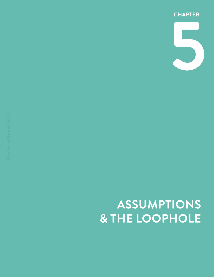# **ASSUMPTIONS & THE LOOPHOLE**

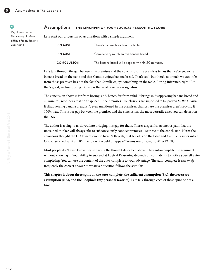#### **Assumptions** THE LINCHPIN OF YOUR LOGICAL REASONING SCORE

Pay close attention. This concept is often difficult for students to understand.

•

G.

|  |  | Let's start our discussion of assumptions with a simple argument: |
|--|--|-------------------------------------------------------------------|
|  |  |                                                                   |

| <b>PREMISE</b>    | There's banana bread on the table.                 |
|-------------------|----------------------------------------------------|
| <b>PREMISE</b>    | Camille very much enjoys banana bread.             |
| <b>CONCLUSION</b> | The banana bread will disappear within 20 minutes. |

Let's talk through the gap between the premises and the conclusion. The premises tell us that we've got some banana bread on the table and that Camille enjoys banana bread. That's cool, but there's not much we can infer from those premises besides the fact that Camille enjoys something on the table. Boring Inference, right? But that's good; we love boring. Boring is the valid conclusion signature.

The conclusion above is far from boring, and, hence, far from valid. It brings in disappearing banana bread and 20 minutes, new ideas that don't appear in the premises. Conclusions are supposed to be proven *by the premises*. If disappearing banana bread isn't even mentioned in the premises, chances are the premises aren't proving it 100% true. This is our gap between the premises and the conclusion, the most versatile asset you can detect on the LSAT.

The author is trying to trick you into bridging this gap for them. There's a specific, erroneous path that the untrained thinker will always take to subconsciously connect premises like these to the conclusion. Here's the erroneous thought the LSAT wants you to have: "Oh yeah, that bread is on the table and Camille is super into it. Of course, she'd eat it all. It's fine to say it would disappear." Seems reasonable, right? WRONG.

Most people don't even know they're having the thought described above. They auto-complete the argument without knowing it. Your ability to succeed at Logical Reasoning depends on your ability to notice yourself autocompleting: You can use the content of the auto-complete to your advantage. The auto-complete is *extremely* frequently the correct answer to whatever question follows the stimulus.

**This chapter is about three spins on the auto-complete: the sufficient assumption (SA), the necessary assumption (NA), and the Loophole (my personal favorite).** Let's talk through each of these spins one at a time.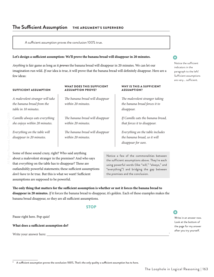## **The Sufficient Assumption** THE ARGUMENT'S SUPERHERO

A sufficient assumption proves the conclusion 100% true.

#### **Let's design a sufficient assumption: We'll prove the banana bread will disappear in 20 minutes.**

*Anything* is fair game as long as it *proves* the banana bread will disappear in 20 minutes. We can let our imagination run wild. *If* our idea is true, it will prove that the banana bread will definitely disappear. Here are a few ideas:

#### SUFFICIENT ASSUMPTION

*A malevolent stranger will take the banana bread from the table in 10 minutes.*

*Camille always eats everything she enjoys within 20 minutes.*

*Everything on the table will disappear in 20 minutes.*

#### WHAT DOES THIS SUFFICIENT ASSUMPTION PROVE?

*The banana bread will disappear within 20 minutes.*

*The banana bread will disappear within 20 minutes.*

*The banana bread will disappear within 20 minutes.*

#### WHY IS THIS A SUFFICIENT ASSUMPTION?

*The malevolent stranger taking the banana bread forces it to disappear.*

*If Camille eats the banana bread, that forces it to disappear.*

*Everything on the table includes the banana bread, so it will disappear for sure.*

Some of these sound crazy, right? Who said anything about a malevolent stranger in the premises? And who says that *everything* on the table has to disappear? These are outlandishly powerful statements; these sufficient assumptions *don't have to be* true. But this is what we want! Sufficient assumptions are supposed to be powerful.

Notice a few of the commonalities between the sufficient assumptions above. They're each using powerful words (like "will," "always," and "everything") and bridging the gap between the premises and the conclusion.

**The only thing that matters for the sufficient assumption is whether or not it forces the banana bread to disappear in 20 minutes.** *If* it forces the banana bread to disappear, it's golden. Each of these examples makes the banana bread disappear, so they are all sufficient assumptions.

#### **STOP**

| Pause right here. Pop quiz!           |  |
|---------------------------------------|--|
| What does a sufficient assumption do? |  |
| Write your answer here:               |  |

Write in an answer now. Look at the bottom of the page for my answer after you try yourself.

| $^\circ$ A sufficient assumption proves the conclusion 100%. That's the only quality a sufficient assumption has to have. |  |  |  |
|---------------------------------------------------------------------------------------------------------------------------|--|--|--|



Notice the sufficient indicators in the paragraph to the left! Sufficient assumptions are very... sufficient.